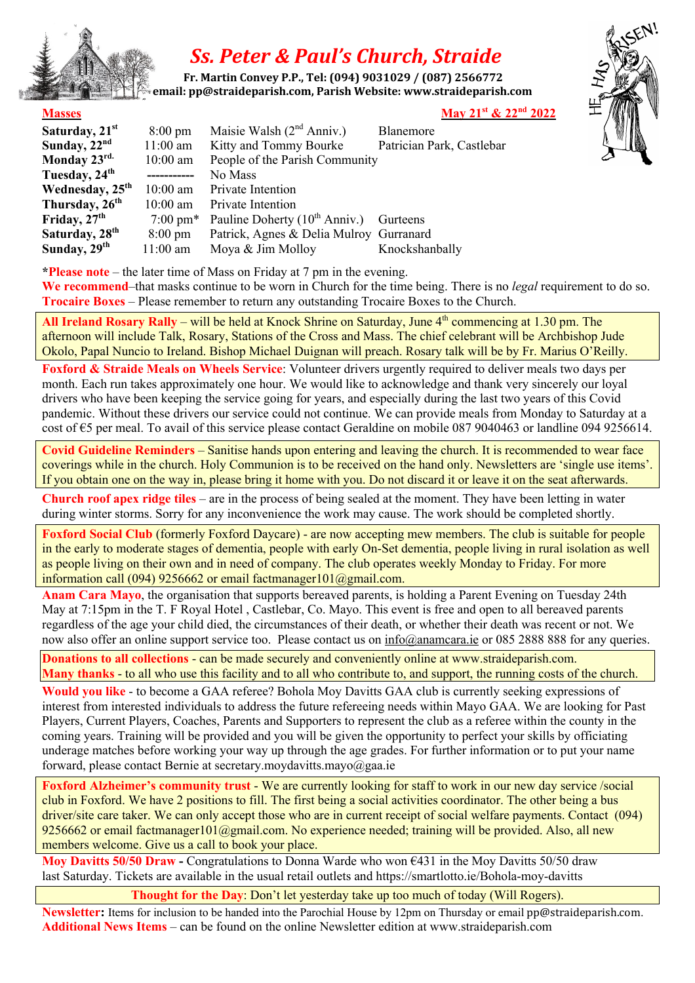

## *Ss. Peter & Paul's Church, Straide*

 **Fr. Martin Convey P.P., Tel: (094) 9031029 / (087) 2566772** *<u>email: pp@straideparish.com, Parish Website: www.straideparish.com***</u>** 



**\*Please note** – the later time of Mass on Friday at 7 pm in the evening.

**We recommend**–that masks continue to be worn in Church for the time being. There is no *legal* requirement to do so. **Trocaire Boxes** – Please remember to return any outstanding Trocaire Boxes to the Church.

**All Ireland Rosary Rally** – will be held at Knock Shrine on Saturday, June 4<sup>th</sup> commencing at 1.30 pm. The afternoon will include Talk, Rosary, Stations of the Cross and Mass. The chief celebrant will be Archbishop Jude Okolo, Papal Nuncio to Ireland. Bishop Michael Duignan will preach. Rosary talk will be by Fr. Marius O'Reilly.

**Foxford & Straide Meals on Wheels Service**: Volunteer drivers urgently required to deliver meals two days per month. Each run takes approximately one hour. We would like to acknowledge and thank very sincerely our loyal drivers who have been keeping the service going for years, and especially during the last two years of this Covid pandemic. Without these drivers our service could not continue. We can provide meals from Monday to Saturday at a cost of €5 per meal. To avail of this service please contact Geraldine on mobile 087 9040463 or landline 094 9256614.

**Covid Guideline Reminders** – Sanitise hands upon entering and leaving the church. It is recommended to wear face coverings while in the church. Holy Communion is to be received on the hand only. Newsletters are 'single use items'. If you obtain one on the way in, please bring it home with you. Do not discard it or leave it on the seat afterwards.

**Church roof apex ridge tiles** – are in the process of being sealed at the moment. They have been letting in water during winter storms. Sorry for any inconvenience the work may cause. The work should be completed shortly.

**Foxford Social Club** (formerly Foxford Daycare) - are now accepting mew members. The club is suitable for people in the early to moderate stages of dementia, people with early On-Set dementia, people living in rural isolation as well as people living on their own and in need of company. The club operates weekly Monday to Friday. For more information call (094) 9256662 or email factmanager101@gmail.com.

**Anam Cara Mayo**, the organisation that supports bereaved parents, is holding a Parent Evening on Tuesday 24th May at 7:15pm in the T. F Royal Hotel, Castlebar, Co. Mayo. This event is free and open to all bereaved parents regardless of the age your child died, the circumstances of their death, or whether their death was recent or not. We now also offer an online support service too. Please contact us on info@anamcara.ie or 085 2888 888 for any queries.

**Donations to all collections** - can be made securely and conveniently online at www.straideparish.com. **Many thanks** - to all who use this facility and to all who contribute to, and support, the running costs of the church.

**Would you like** - to become a GAA referee? Bohola Moy Davitts GAA club is currently seeking expressions of interest from interested individuals to address the future refereeing needs within Mayo GAA. We are looking for Past Players, Current Players, Coaches, Parents and Supporters to represent the club as a referee within the county in the coming years. Training will be provided and you will be given the opportunity to perfect your skills by officiating underage matches before working your way up through the age grades. For further information or to put your name forward, please contact Bernie at secretary.moydavitts.mayo@gaa.ie

**Foxford Alzheimer's community trust** - We are currently looking for staff to work in our new day service /social club in Foxford. We have 2 positions to fill. The first being a social activities coordinator. The other being a bus driver/site care taker. We can only accept those who are in current receipt of social welfare payments. Contact (094) 9256662 or email factmanager101@gmail.com. No experience needed; training will be provided. Also, all new members welcome. Give us a call to book your place.

**Moy Davitts 50/50 Draw -** Congratulations to Donna Warde who won  $\epsilon$ 431 in the Moy Davitts 50/50 draw last Saturday. Tickets are available in the usual retail outlets and https://smartlotto.ie/Bohola-moy-davitts

**Thought for the Day**: Don't let yesterday take up too much of today (Will Rogers).

**Newsletter:** Items for inclusion to be handed into the Parochial House by 12pm on Thursday or email pp@straideparish.com. **Additional News Items** – can be found on the online Newsletter edition at www.straideparish.com